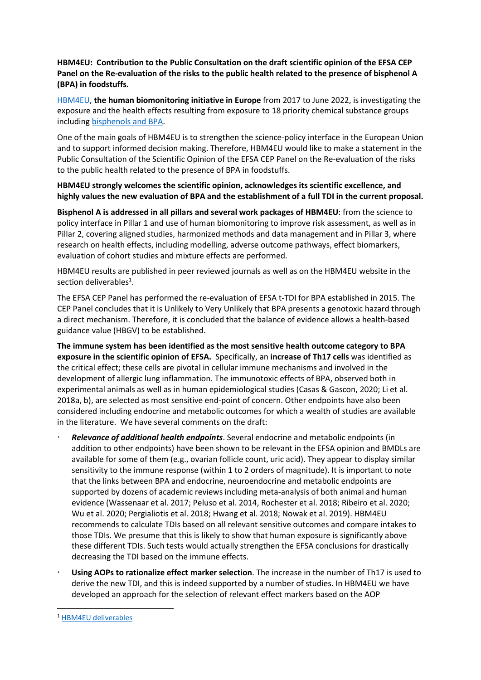HBM4EU: Contribution to the Public Consultation on the draft scientific opinion of the EFSA CEP Panel on the Re-evaluation of the risks to the public health related to the presence of bisphenol A (BPA) in foodstuffs.

HBM4EU, the human biomonitoring initiative in Europe from 2017 to June 2022, is investigating the exposure and the health effects resulting from exposure to 18 priority chemical substance groups including bisphenols and BPA.

One of the main goals of HBM4EU is to strengthen the science-policy interface in the European Union and to support informed decision making. Therefore, HBM4EU would like to make a statement in the Public Consultation of the Scientific Opinion of the EFSA CEP Panel on the Re-evaluation of the risks to the public health related to the presence of BPA in foodstuffs.

HBM4EU strongly welcomes the scientific opinion, acknowledges its scientific excellence, and highly values the new evaluation of BPA and the establishment of a full TDI in the current proposal.

Bisphenol A is addressed in all pillars and several work packages of HBM4EU: from the science to policy interface in Pillar 1 and use of human biomonitoring to improve risk assessment, as well as in Pillar 2, covering aligned studies, harmonized methods and data management and in Pillar 3, where research on health effects, including modelling, adverse outcome pathways, effect biomarkers, evaluation of cohort studies and mixture effects are performed.

HBM4EU results are published in peer reviewed journals as well as on the HBM4EU website in the section deliverables<sup>1</sup>.

The EFSA CEP Panel has performed the re-evaluation of EFSA t-TDI for BPA established in 2015. The CEP Panel concludes that it is Unlikely to Very Unlikely that BPA presents a genotoxic hazard through a direct mechanism. Therefore, it is concluded that the balance of evidence allows a health-based guidance value (HBGV) to be established.

The immune system has been identified as the most sensitive health outcome category to BPA exposure in the scientific opinion of EFSA. Specifically, an increase of Th17 cells was identified as the critical effect; these cells are pivotal in cellular immune mechanisms and involved in the development of allergic lung inflammation. The immunotoxic effects of BPA, observed both in experimental animals as well as in human epidemiological studies (Casas & Gascon, 2020; Li et al. 2018a, b), are selected as most sensitive end-point of concern. Other endpoints have also been considered including endocrine and metabolic outcomes for which a wealth of studies are available in the literature. We have several comments on the draft:

- Relevance of additional health endpoints. Several endocrine and metabolic endpoints (in addition to other endpoints) have been shown to be relevant in the EFSA opinion and BMDLs are available for some of them (e.g., ovarian follicle count, uric acid). They appear to display similar sensitivity to the immune response (within 1 to 2 orders of magnitude). It is important to note that the links between BPA and endocrine, neuroendocrine and metabolic endpoints are supported by dozens of academic reviews including meta-analysis of both animal and human evidence (Wassenaar et al. 2017; Peluso et al. 2014, Rochester et al. 2018; Ribeiro et al. 2020; Wu et al. 2020; Pergialiotis et al. 2018; Hwang et al. 2018; Nowak et al. 2019). HBM4EU recommends to calculate TDIs based on all relevant sensitive outcomes and compare intakes to those TDIs. We presume that this is likely to show that human exposure is significantly above these different TDIs. Such tests would actually strengthen the EFSA conclusions for drastically decreasing the TDI based on the immune effects.
- Using AOPs to rationalize effect marker selection. The increase in the number of Th17 is used to derive the new TDI, and this is indeed supported by a number of studies. In HBM4EU we have developed an approach for the selection of relevant effect markers based on the AOP

<sup>1</sup> HBM4EU deliverables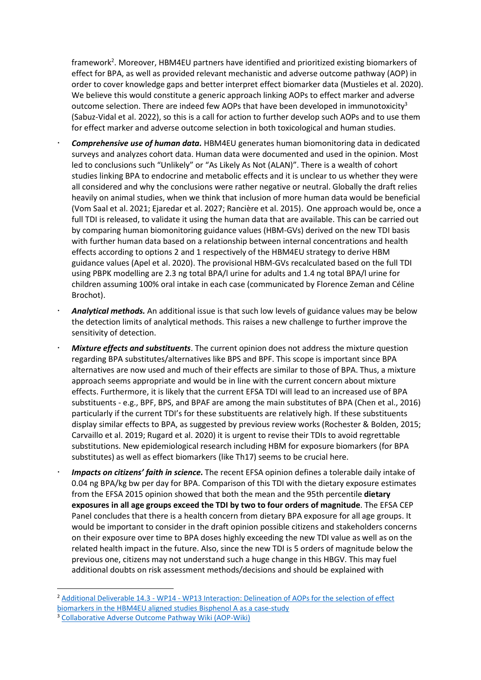framework<sup>2</sup>. Moreover, HBM4EU partners have identified and prioritized existing biomarkers of effect for BPA, as well as provided relevant mechanistic and adverse outcome pathway (AOP) in order to cover knowledge gaps and better interpret effect biomarker data (Mustieles et al. 2020). We believe this would constitute a generic approach linking AOPs to effect marker and adverse outcome selection. There are indeed few AOPs that have been developed in immunotoxicity<sup>3</sup> (Sabuz-Vidal et al. 2022), so this is a call for action to further develop such AOPs and to use them for effect marker and adverse outcome selection in both toxicological and human studies.

- Comprehensive use of human data. HBM4EU generates human biomonitoring data in dedicated surveys and analyzes cohort data. Human data were documented and used in the opinion. Most led to conclusions such "Unlikely" or "As Likely As Not (ALAN)". There is a wealth of cohort studies linking BPA to endocrine and metabolic effects and it is unclear to us whether they were all considered and why the conclusions were rather negative or neutral. Globally the draft relies heavily on animal studies, when we think that inclusion of more human data would be beneficial (Vom Saal et al. 2021; Ejaredar et al. 2027; Rancière et al. 2015). One approach would be, once a full TDI is released, to validate it using the human data that are available. This can be carried out by comparing human biomonitoring guidance values (HBM-GVs) derived on the new TDI basis with further human data based on a relationship between internal concentrations and health effects according to options 2 and 1 respectively of the HBM4EU strategy to derive HBM guidance values (Apel et al. 2020). The provisional HBM-GVs recalculated based on the full TDI using PBPK modelling are 2.3 ng total BPA/l urine for adults and 1.4 ng total BPA/l urine for children assuming 100% oral intake in each case (communicated by Florence Zeman and Céline Brochot).
- Analytical methods. An additional issue is that such low levels of guidance values may be below the detection limits of analytical methods. This raises a new challenge to further improve the sensitivity of detection.
- Mixture effects and substituents. The current opinion does not address the mixture question regarding BPA substitutes/alternatives like BPS and BPF. This scope is important since BPA alternatives are now used and much of their effects are similar to those of BPA. Thus, a mixture approach seems appropriate and would be in line with the current concern about mixture effects. Furthermore, it is likely that the current EFSA TDI will lead to an increased use of BPA substituents - e.g., BPF, BPS, and BPAF are among the main substitutes of BPA (Chen et al., 2016) particularly if the current TDI's for these substituents are relatively high. If these substituents display similar effects to BPA, as suggested by previous review works (Rochester & Bolden, 2015; Carvaillo et al. 2019; Rugard et al. 2020) it is urgent to revise their TDIs to avoid regrettable substitutions. New epidemiological research including HBM for exposure biomarkers (for BPA substitutes) as well as effect biomarkers (like Th17) seems to be crucial here.
- Impacts on citizens' faith in science. The recent EFSA opinion defines a tolerable daily intake of 0.04 ng BPA/kg bw per day for BPA. Comparison of this TDI with the dietary exposure estimates from the EFSA 2015 opinion showed that both the mean and the 95th percentile dietary exposures in all age groups exceed the TDI by two to four orders of magnitude. The EFSA CEP Panel concludes that there is a health concern from dietary BPA exposure for all age groups. It would be important to consider in the draft opinion possible citizens and stakeholders concerns on their exposure over time to BPA doses highly exceeding the new TDI value as well as on the related health impact in the future. Also, since the new TDI is 5 orders of magnitude below the previous one, citizens may not understand such a huge change in this HBGV. This may fuel additional doubts on risk assessment methods/decisions and should be explained with

-

<sup>&</sup>lt;sup>2</sup> Additional Deliverable 14.3 - WP14 - WP13 Interaction: Delineation of AOPs for the selection of effect biomarkers in the HBM4EU aligned studies Bisphenol A as a case-study

<sup>&</sup>lt;sup>3</sup> Collaborative Adverse Outcome Pathway Wiki (AOP-Wiki)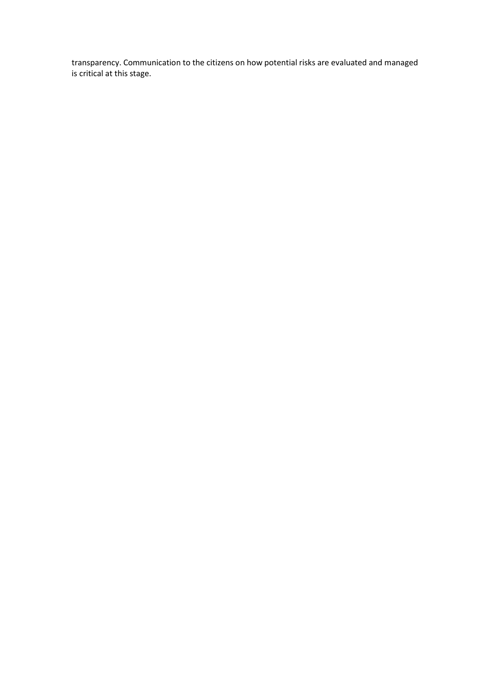transparency. Communication to the citizens on how potential risks are evaluated and managed is critical at this stage.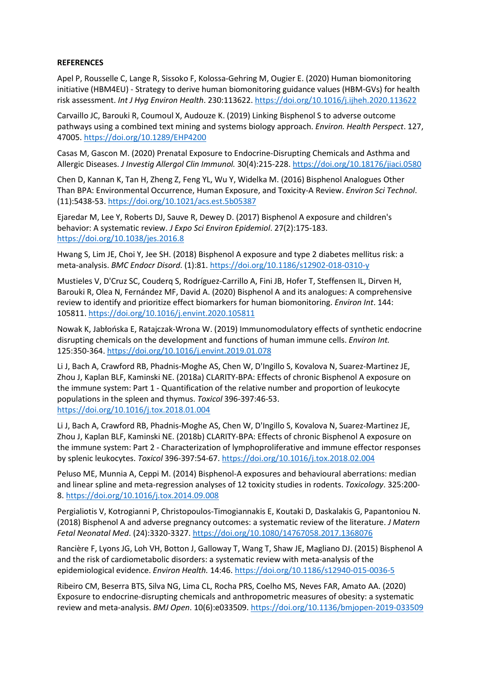## **REFERENCES**

Apel P, Rousselle C, Lange R, Sissoko F, Kolossa-Gehring M, Ougier E. (2020) Human biomonitoring initiative (HBM4EU) - Strategy to derive human biomonitoring guidance values (HBM-GVs) for health risk assessment. Int J Hyg Environ Health. 230:113622. https://doi.org/10.1016/j.ijheh.2020.113622

Carvaillo JC, Barouki R, Coumoul X, Audouze K. (2019) Linking Bisphenol S to adverse outcome pathways using a combined text mining and systems biology approach. Environ. Health Perspect. 127, 47005. https://doi.org/10.1289/EHP4200

Casas M, Gascon M. (2020) Prenatal Exposure to Endocrine-Disrupting Chemicals and Asthma and Allergic Diseases. J Investig Allergol Clin Immunol. 30(4):215-228. https://doi.org/10.18176/jiaci.0580

Chen D, Kannan K, Tan H, Zheng Z, Feng YL, Wu Y, Widelka M. (2016) Bisphenol Analogues Other Than BPA: Environmental Occurrence, Human Exposure, and Toxicity-A Review. Environ Sci Technol. (11):5438-53. https://doi.org/10.1021/acs.est.5b05387

Ejaredar M, Lee Y, Roberts DJ, Sauve R, Dewey D. (2017) Bisphenol A exposure and children's behavior: A systematic review. J Expo Sci Environ Epidemiol. 27(2):175-183. https://doi.org/10.1038/jes.2016.8

Hwang S, Lim JE, Choi Y, Jee SH. (2018) Bisphenol A exposure and type 2 diabetes mellitus risk: a meta-analysis. BMC Endocr Disord. (1):81. https://doi.org/10.1186/s12902-018-0310-y

Mustieles V, D'Cruz SC, Couderq S, Rodríguez-Carrillo A, Fini JB, Hofer T, Steffensen IL, Dirven H, Barouki R, Olea N, Fernández MF, David A. (2020) Bisphenol A and its analogues: A comprehensive review to identify and prioritize effect biomarkers for human biomonitoring. *Environ Int*. 144: 105811. https://doi.org/10.1016/j.envint.2020.105811

Nowak K, Jabłońska E, Ratajczak-Wrona W. (2019) Immunomodulatory effects of synthetic endocrine disrupting chemicals on the development and functions of human immune cells. Environ Int. 125:350-364. https://doi.org/10.1016/j.envint.2019.01.078

Li J, Bach A, Crawford RB, Phadnis-Moghe AS, Chen W, D'Ingillo S, Kovalova N, Suarez-Martinez JE, Zhou J, Kaplan BLF, Kaminski NE. (2018a) CLARITY-BPA: Effects of chronic Bisphenol A exposure on the immune system: Part 1 - Quantification of the relative number and proportion of leukocyte populations in the spleen and thymus. Toxicol 396-397:46-53. https://doi.org/10.1016/j.tox.2018.01.004

Li J, Bach A, Crawford RB, Phadnis-Moghe AS, Chen W, D'Ingillo S, Kovalova N, Suarez-Martinez JE, Zhou J, Kaplan BLF, Kaminski NE. (2018b) CLARITY-BPA: Effects of chronic Bisphenol A exposure on the immune system: Part 2 - Characterization of lymphoproliferative and immune effector responses by splenic leukocytes. Toxicol 396-397:54-67. https://doi.org/10.1016/j.tox.2018.02.004

Peluso ME, Munnia A, Ceppi M. (2014) Bisphenol-A exposures and behavioural aberrations: median and linear spline and meta-regression analyses of 12 toxicity studies in rodents. Toxicology. 325:200- 8. https://doi.org/10.1016/j.tox.2014.09.008

Pergialiotis V, Kotrogianni P, Christopoulos-Timogiannakis E, Koutaki D, Daskalakis G, Papantoniou N. (2018) Bisphenol A and adverse pregnancy outcomes: a systematic review of the literature. J Matern Fetal Neonatal Med. (24):3320-3327. https://doi.org/10.1080/14767058.2017.1368076

Rancière F, Lyons JG, Loh VH, Botton J, Galloway T, Wang T, Shaw JE, Magliano DJ. (2015) Bisphenol A and the risk of cardiometabolic disorders: a systematic review with meta-analysis of the epidemiological evidence. Environ Health. 14:46. https://doi.org/10.1186/s12940-015-0036-5

Ribeiro CM, Beserra BTS, Silva NG, Lima CL, Rocha PRS, Coelho MS, Neves FAR, Amato AA. (2020) Exposure to endocrine-disrupting chemicals and anthropometric measures of obesity: a systematic review and meta-analysis. BMJ Open. 10(6):e033509. https://doi.org/10.1136/bmjopen-2019-033509